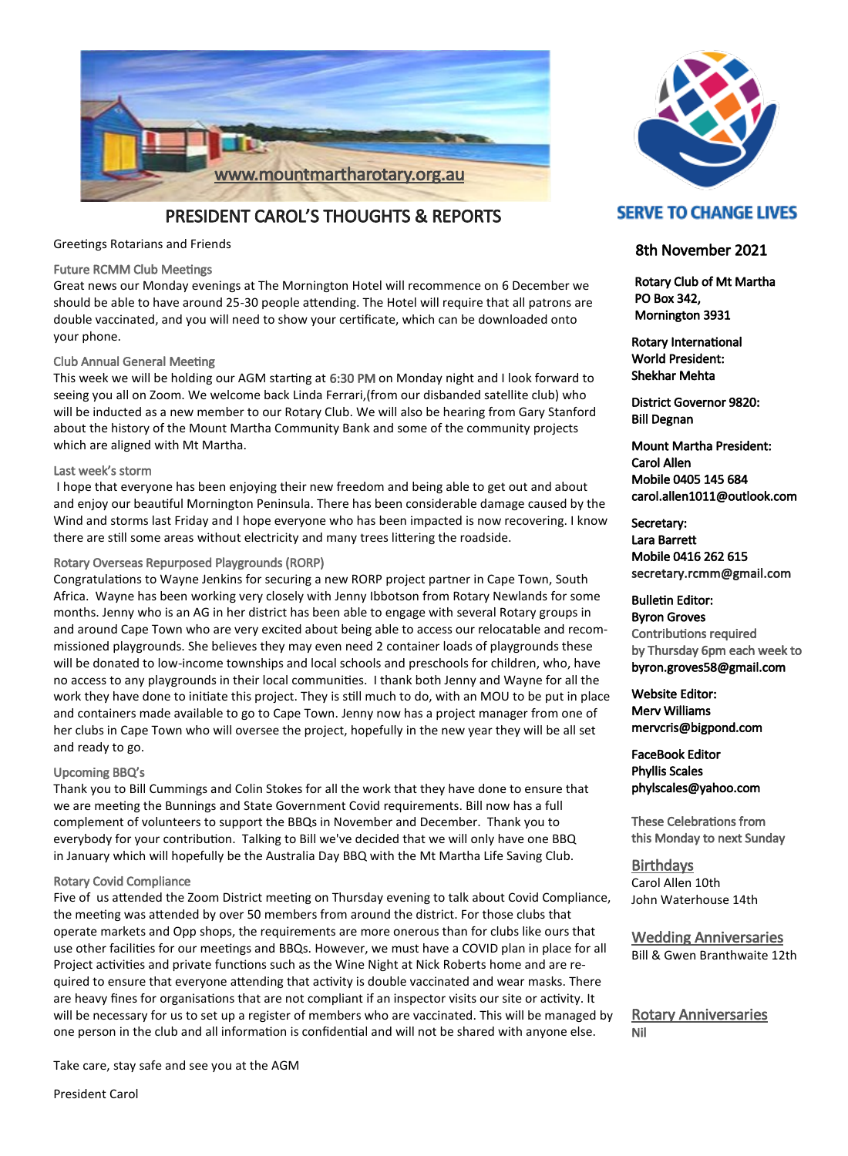

PRESIDENT CAROL'S THOUGHTS & REPORTS

Greetings Rotarians and Friends

#### Future RCMM Club Meetings

Great news our Monday evenings at The Mornington Hotel will recommence on 6 December we should be able to have around 25-30 people attending. The Hotel will require that all patrons are double vaccinated, and you will need to show your certificate, which can be downloaded onto your phone.

### Club Annual General Meeting

This week we will be holding our AGM starting at 6:30 PM on Monday night and I look forward to seeing you all on Zoom. We welcome back Linda Ferrari,(from our disbanded satellite club) who will be inducted as a new member to our Rotary Club. We will also be hearing from Gary Stanford about the history of the Mount Martha Community Bank and some of the community projects which are aligned with Mt Martha.

#### Last week's storm

I hope that everyone has been enjoying their new freedom and being able to get out and about and enjoy our beautiful Mornington Peninsula. There has been considerable damage caused by the Wind and storms last Friday and I hope everyone who has been impacted is now recovering. I know there are still some areas without electricity and many trees littering the roadside.

#### Rotary Overseas Repurposed Playgrounds (RORP)

Congratulations to Wayne Jenkins for securing a new RORP project partner in Cape Town, South Africa. Wayne has been working very closely with Jenny Ibbotson from Rotary Newlands for some months. Jenny who is an AG in her district has been able to engage with several Rotary groups in and around Cape Town who are very excited about being able to access our relocatable and recommissioned playgrounds. She believes they may even need 2 container loads of playgrounds these will be donated to low-income townships and local schools and preschools for children, who, have no access to any playgrounds in their local communities. I thank both Jenny and Wayne for all the work they have done to initiate this project. They is still much to do, with an MOU to be put in place and containers made available to go to Cape Town. Jenny now has a project manager from one of her clubs in Cape Town who will oversee the project, hopefully in the new year they will be all set and ready to go.

#### Upcoming BBQ's

Thank you to Bill Cummings and Colin Stokes for all the work that they have done to ensure that we are meeting the Bunnings and State Government Covid requirements. Bill now has a full complement of volunteers to support the BBQs in November and December. Thank you to everybody for your contribution. Talking to Bill we've decided that we will only have one BBQ in January which will hopefully be the Australia Day BBQ with the Mt Martha Life Saving Club.

#### Rotary Covid Compliance

Five of us attended the Zoom District meeting on Thursday evening to talk about Covid Compliance, the meeting was attended by over 50 members from around the district. For those clubs that operate markets and Opp shops, the requirements are more onerous than for clubs like ours that use other facilities for our meetings and BBQs. However, we must have a COVID plan in place for all Project activities and private functions such as the Wine Night at Nick Roberts home and are required to ensure that everyone attending that activity is double vaccinated and wear masks. There are heavy fines for organisations that are not compliant if an inspector visits our site or activity. It will be necessary for us to set up a register of members who are vaccinated. This will be managed by one person in the club and all information is confidential and will not be shared with anyone else.

Take care, stay safe and see you at the AGM

President Carol



# **SERVE TO CHANGE LIVES**

## 8th November 2021

 Rotary Club of Mt Martha PO Box 342, Mornington 3931

Rotary International World President: Shekhar Mehta

District Governor 9820: Bill Degnan

Mount Martha President: Carol Allen Mobile 0405 145 684 carol.allen1011@outlook.com

Secretary: Lara Barrett Mobile 0416 262 615 secretary.rcmm@gmail.com

Bulletin Editor: Byron Groves Contributions required by Thursday 6pm each week to byron.groves58@gmail.com

Website Editor: Merv Williams mervcris@bigpond.com

FaceBook Editor Phyllis Scales phylscales@yahoo.com

These Celebrations from this Monday to next Sunday

**Birthdays** Carol Allen 10th John Waterhouse 14th

Wedding Anniversaries Bill & Gwen Branthwaite 12th

Rotary Anniversaries Nil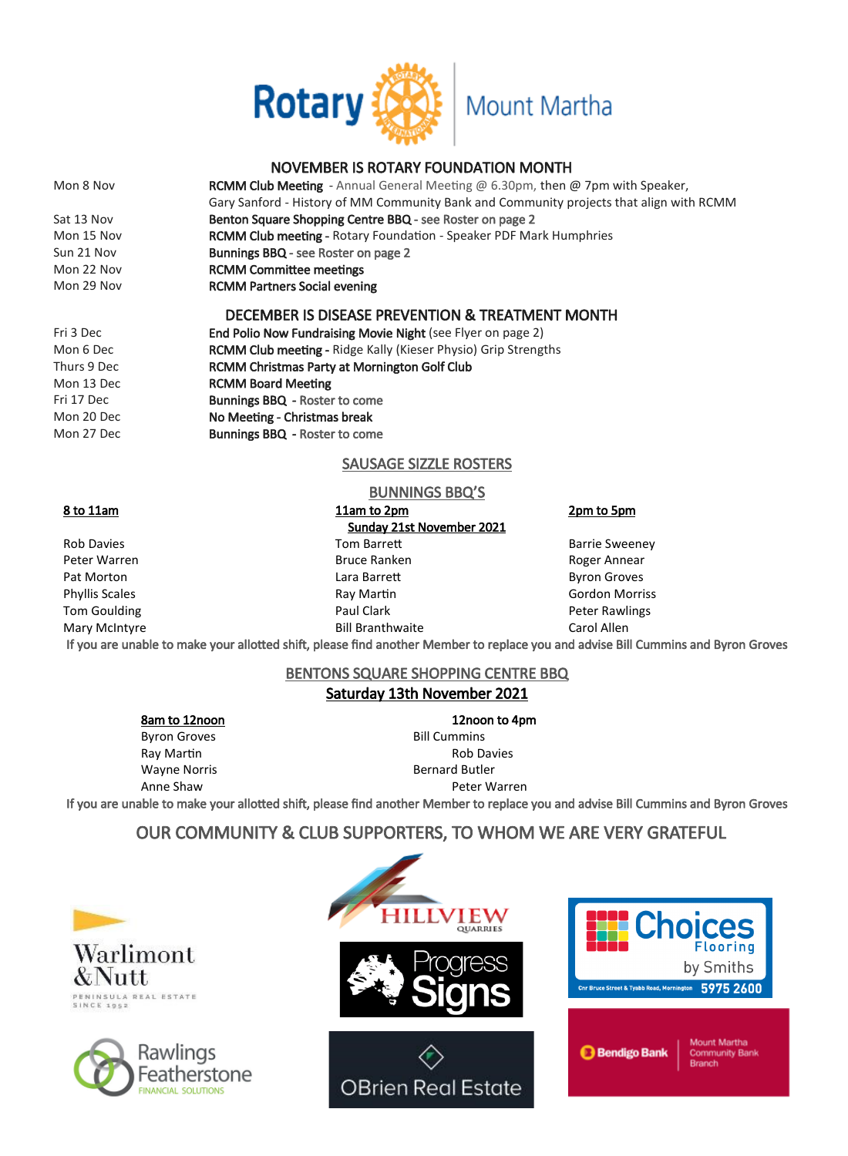

# NOVEMBER IS ROTARY FOUNDATION MONTH

Mon 8 Nov **RCMM Club Meeting** - Annual General Meeting @ 6.30pm, then @ 7pm with Speaker, Gary Sanford - History of MM Community Bank and Community projects that align with RCMM Sat 13 Nov **Benton Square Shopping Centre BBQ** - see Roster on page 2 Mon 15 Nov **RCMM Club meeting - Rotary Foundation - Speaker PDF Mark Humphries** Sun 21 Nov Bunnings BBQ - see Roster on page 2 Mon 22 Nov **RCMM Committee meetings** Mon 29 Nov **RCMM Partners Social evening** DECEMBER IS DISEASE PREVENTION & TREATMENT MONTH

Fri 3 Dec **End Polio Now Fundraising Movie Night** (see Flyer on page 2) Mon 6 Dec **RCMM Club meeting - Ridge Kally (Kieser Physio) Grip Strengths** Thurs 9 Dec RCMM Christmas Party at Mornington Golf Club Mon 13 Dec RCMM Board Meeting Fri 17 Dec Bunnings BBQ - Roster to come Mon 20 Dec No Meeting - Christmas break Mon 27 Dec **Bunnings BBQ** - Roster to come

## SAUSAGE SIZZLE ROSTERS

### BUNNINGS BBQ'S

### 8 to 11am 11am to 2pm 2pm 2pm to 5pm Sunday 21st November 2021 Rob Davies **Tom Barrett** Barrett Barrie Sweeney Peter Warren **Bruce Ranken** Bruce Ranken Roger Annear Pat Morton **Communist Communist Communist Care Lara Barrett** Communist Communist Communist Communist Communist Communist Communist Communist Communist Communist Communist Communist Communist Communist Communist Communist C Phyllis Scales **Ray Martin Community Community** Ray Martin **Community Community Community Community** Gordon Morriss Tom Goulding **Paul Clark** Paul Clark **Paul Clark** Peter Rawlings Mary McIntyre Bill Branthwaite Carol Allen

If you are unable to make your allotted shift, please find another Member to replace you and advise Bill Cummins and Byron Groves

## BENTONS SQUARE SHOPPING CENTRE BBQ Saturday 13th November 2021

Byron Groves and Bill Cummins Ray Martin **Ray Martin** Rob Davies Wayne Norris **Bernard Butler** Bernard Butler

8am to 12noon 12noon to 4pm Anne Shaw Peter Warren

If you are unable to make your allotted shift, please find another Member to replace you and advise Bill Cummins and Byron Groves

# OUR COMMUNITY & CLUB SUPPORTERS, TO WHOM WE ARE VERY GRATEFUL



Warlimont & Nutt ENINSULA REAL ESTATE<br>INCE 1952



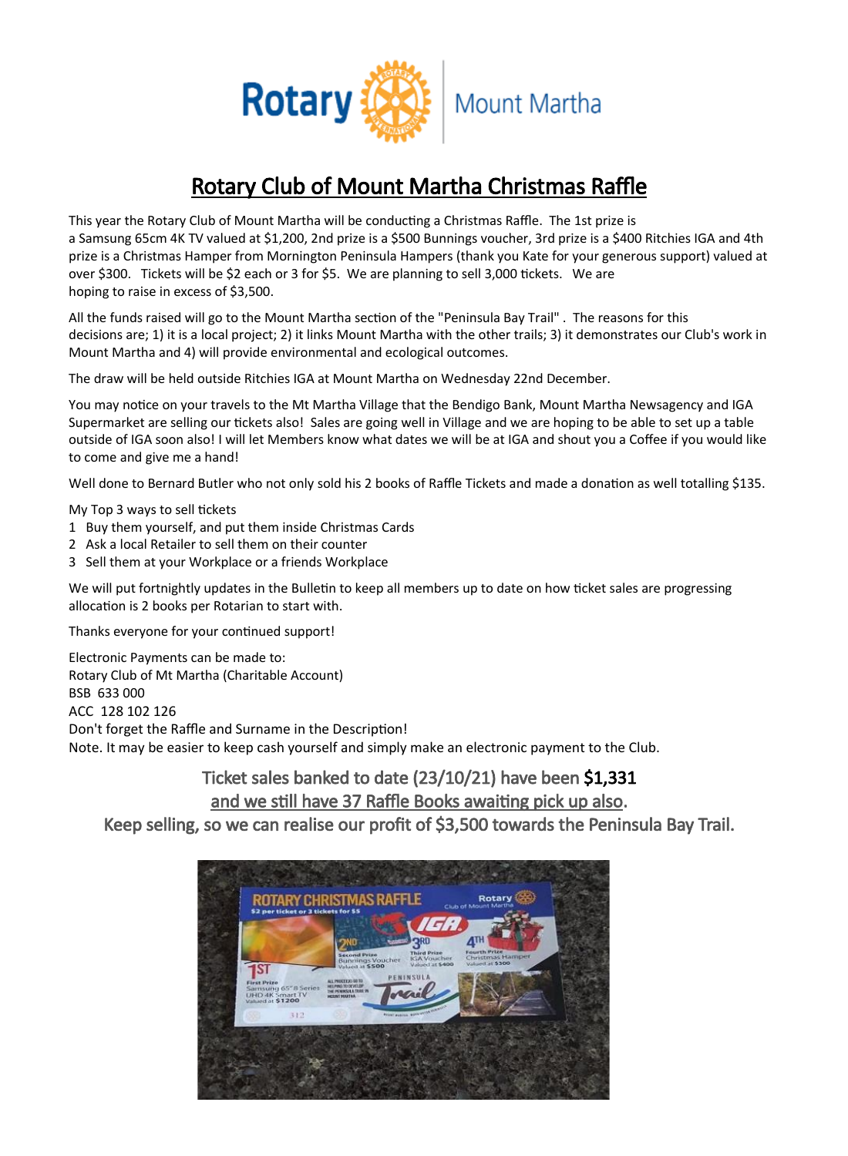

# Rotary Club of Mount Martha Christmas Raffle

This year the Rotary Club of Mount Martha will be conducting a Christmas Raffle. The 1st prize is a Samsung 65cm 4K TV valued at \$1,200, 2nd prize is a \$500 Bunnings voucher, 3rd prize is a \$400 Ritchies IGA and 4th prize is a Christmas Hamper from Mornington Peninsula Hampers (thank you Kate for your generous support) valued at over \$300. Tickets will be \$2 each or 3 for \$5. We are planning to sell 3,000 tickets. We are hoping to raise in excess of \$3,500.

All the funds raised will go to the Mount Martha section of the "Peninsula Bay Trail" . The reasons for this decisions are; 1) it is a local project; 2) it links Mount Martha with the other trails; 3) it demonstrates our Club's work in Mount Martha and 4) will provide environmental and ecological outcomes.

The draw will be held outside Ritchies IGA at Mount Martha on Wednesday 22nd December.

You may notice on your travels to the Mt Martha Village that the Bendigo Bank, Mount Martha Newsagency and IGA Supermarket are selling our tickets also! Sales are going well in Village and we are hoping to be able to set up a table outside of IGA soon also! I will let Members know what dates we will be at IGA and shout you a Coffee if you would like to come and give me a hand!

Well done to Bernard Butler who not only sold his 2 books of Raffle Tickets and made a donation as well totalling \$135.

My Top 3 ways to sell tickets

- 1 Buy them yourself, and put them inside Christmas Cards
- 2 Ask a local Retailer to sell them on their counter
- 3 Sell them at your Workplace or a friends Workplace

We will put fortnightly updates in the Bulletin to keep all members up to date on how ticket sales are progressing allocation is 2 books per Rotarian to start with.

Thanks everyone for your continued support!

Electronic Payments can be made to: Rotary Club of Mt Martha (Charitable Account) BSB 633 000 ACC 128 102 126 Don't forget the Raffle and Surname in the Description! Note. It may be easier to keep cash yourself and simply make an electronic payment to the Club.

# Ticket sales banked to date (23/10/21) have been \$1,331 and we still have 37 Raffle Books awaiting pick up also.

Keep selling, so we can realise our profit of \$3,500 towards the Peninsula Bay Trail.